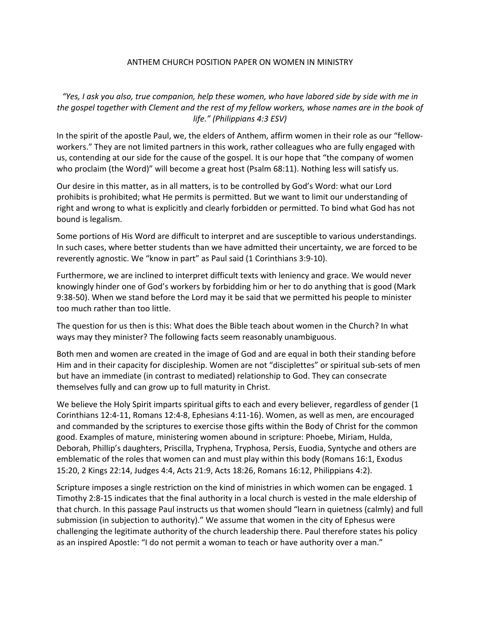## ANTHEM CHURCH POSITION PAPER ON WOMEN IN MINISTRY

*"Yes, I ask you also, true companion, help these women, who have labored side by side with me in the gospel together with Clement and the rest of my fellow workers, whose names are in the book of life." (Philippians 4:3 ESV)*

In the spirit of the apostle Paul, we, the elders of Anthem, affirm women in their role as our "fellowworkers." They are not limited partners in this work, rather colleagues who are fully engaged with us, contending at our side for the cause of the gospel. It is our hope that "the company of women who proclaim (the Word)" will become a great host (Psalm 68:11). Nothing less will satisfy us.

Our desire in this matter, as in all matters, is to be controlled by God's Word: what our Lord prohibits is prohibited; what He permits is permitted. But we want to limit our understanding of right and wrong to what is explicitly and clearly forbidden or permitted. To bind what God has not bound is legalism.

Some portions of His Word are difficult to interpret and are susceptible to various understandings. In such cases, where better students than we have admitted their uncertainty, we are forced to be reverently agnostic. We "know in part" as Paul said (1 Corinthians 3:9-10).

Furthermore, we are inclined to interpret difficult texts with leniency and grace. We would never knowingly hinder one of God's workers by forbidding him or her to do anything that is good (Mark 9:38-50). When we stand before the Lord may it be said that we permitted his people to minister too much rather than too little.

The question for us then is this: What does the Bible teach about women in the Church? In what ways may they minister? The following facts seem reasonably unambiguous.

Both men and women are created in the image of God and are equal in both their standing before Him and in their capacity for discipleship. Women are not "disciplettes" or spiritual sub-sets of men but have an immediate (in contrast to mediated) relationship to God. They can consecrate themselves fully and can grow up to full maturity in Christ.

We believe the Holy Spirit imparts spiritual gifts to each and every believer, regardless of gender (1) Corinthians 12:4-11, Romans 12:4-8, Ephesians 4:11-16). Women, as well as men, are encouraged and commanded by the scriptures to exercise those gifts within the Body of Christ for the common good. Examples of mature, ministering women abound in scripture: Phoebe, Miriam, Hulda, Deborah, Phillip's daughters, Priscilla, Tryphena, Tryphosa, Persis, Euodia, Syntyche and others are emblematic of the roles that women can and must play within this body (Romans 16:1, Exodus 15:20, 2 Kings 22:14, Judges 4:4, Acts 21:9, Acts 18:26, Romans 16:12, Philippians 4:2).

Scripture imposes a single restriction on the kind of ministries in which women can be engaged. 1 Timothy 2:8-15 indicates that the final authority in a local church is vested in the male eldership of that church. In this passage Paul instructs us that women should "learn in quietness (calmly) and full submission (in subjection to authority)." We assume that women in the city of Ephesus were challenging the legitimate authority of the church leadership there. Paul therefore states his policy as an inspired Apostle: "I do not permit a woman to teach or have authority over a man."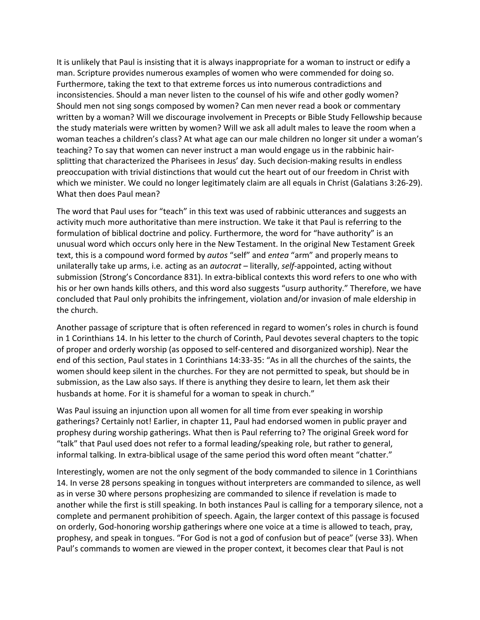It is unlikely that Paul is insisting that it is always inappropriate for a woman to instruct or edify a man. Scripture provides numerous examples of women who were commended for doing so. Furthermore, taking the text to that extreme forces us into numerous contradictions and inconsistencies. Should a man never listen to the counsel of his wife and other godly women? Should men not sing songs composed by women? Can men never read a book or commentary written by a woman? Will we discourage involvement in Precepts or Bible Study Fellowship because the study materials were written by women? Will we ask all adult males to leave the room when a woman teaches a children's class? At what age can our male children no longer sit under a woman's teaching? To say that women can never instruct a man would engage us in the rabbinic hairsplitting that characterized the Pharisees in Jesus' day. Such decision-making results in endless preoccupation with trivial distinctions that would cut the heart out of our freedom in Christ with which we minister. We could no longer legitimately claim are all equals in Christ (Galatians 3:26-29). What then does Paul mean?

The word that Paul uses for "teach" in this text was used of rabbinic utterances and suggests an activity much more authoritative than mere instruction. We take it that Paul is referring to the formulation of biblical doctrine and policy. Furthermore, the word for "have authority" is an unusual word which occurs only here in the New Testament. In the original New Testament Greek text, this is a compound word formed by *autos* "self" and *entea* "arm" and properly means to unilaterally take up arms, i.e. acting as an *autocrat* – literally, *self*-appointed, acting without submission (Strong's Concordance 831). In extra-biblical contexts this word refers to one who with his or her own hands kills others, and this word also suggests "usurp authority." Therefore, we have concluded that Paul only prohibits the infringement, violation and/or invasion of male eldership in the church.

Another passage of scripture that is often referenced in regard to women's roles in church is found in 1 Corinthians 14. In his letter to the church of Corinth, Paul devotes several chapters to the topic of proper and orderly worship (as opposed to self-centered and disorganized worship). Near the end of this section, Paul states in 1 Corinthians 14:33-35: "As in all the churches of the saints, the women should keep silent in the churches. For they are not permitted to speak, but should be in submission, as the Law also says. If there is anything they desire to learn, let them ask their husbands at home. For it is shameful for a woman to speak in church."

Was Paul issuing an injunction upon all women for all time from ever speaking in worship gatherings? Certainly not! Earlier, in chapter 11, Paul had endorsed women in public prayer and prophesy during worship gatherings. What then is Paul referring to? The original Greek word for "talk" that Paul used does not refer to a formal leading/speaking role, but rather to general, informal talking. In extra-biblical usage of the same period this word often meant "chatter."

Interestingly, women are not the only segment of the body commanded to silence in 1 Corinthians 14. In verse 28 persons speaking in tongues without interpreters are commanded to silence, as well as in verse 30 where persons prophesizing are commanded to silence if revelation is made to another while the first is still speaking. In both instances Paul is calling for a temporary silence, not a complete and permanent prohibition of speech. Again, the larger context of this passage is focused on orderly, God-honoring worship gatherings where one voice at a time is allowed to teach, pray, prophesy, and speak in tongues. "For God is not a god of confusion but of peace" (verse 33). When Paul's commands to women are viewed in the proper context, it becomes clear that Paul is not